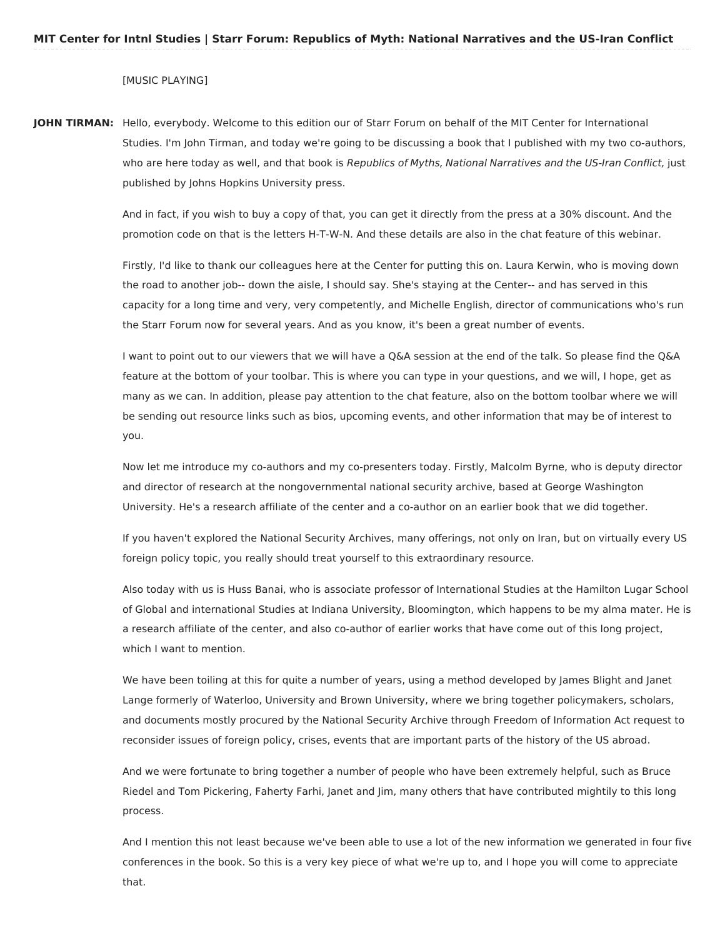## [MUSIC PLAYING]

**JOHN TIRMAN:** Hello, everybody. Welcome to this edition our of Starr Forum on behalf of the MIT Center for International Studies. I'm John Tirman, and today we're going to be discussing a book that I published with my two co-authors, who are here today as well, and that book is Republics of Myths, National Narratives and the US-Iran Conflict, just published by Johns Hopkins University press.

> And in fact, if you wish to buy a copy of that, you can get it directly from the press at a 30% discount. And the promotion code on that is the letters H-T-W-N. And these details are also in the chat feature of this webinar.

Firstly, I'd like to thank our colleagues here at the Center for putting this on. Laura Kerwin, who is moving down the road to another job-- down the aisle, I should say. She's staying at the Center-- and has served in this capacity for a long time and very, very competently, and Michelle English, director of communications who's run the Starr Forum now for several years. And as you know, it's been a great number of events.

I want to point out to our viewers that we will have a Q&A session at the end of the talk. So please find the Q&A feature at the bottom of your toolbar. This is where you can type in your questions, and we will, I hope, get as many as we can. In addition, please pay attention to the chat feature, also on the bottom toolbar where we will be sending out resource links such as bios, upcoming events, and other information that may be of interest to you.

Now let me introduce my co-authors and my co-presenters today. Firstly, Malcolm Byrne, who is deputy director and director of research at the nongovernmental national security archive, based at George Washington University. He's a research affiliate of the center and a co-author on an earlier book that we did together.

If you haven't explored the National Security Archives, many offerings, not only on Iran, but on virtually every US foreign policy topic, you really should treat yourself to this extraordinary resource.

Also today with us is Huss Banai, who is associate professor of International Studies at the Hamilton Lugar School of Global and international Studies at Indiana University, Bloomington, which happens to be my alma mater. He is a research affiliate of the center, and also co-author of earlier works that have come out of this long project, which I want to mention.

We have been toiling at this for quite a number of years, using a method developed by James Blight and Janet Lange formerly of Waterloo, University and Brown University, where we bring together policymakers, scholars, and documents mostly procured by the National Security Archive through Freedom of Information Act request to reconsider issues of foreign policy, crises, events that are important parts of the history of the US abroad.

And we were fortunate to bring together a number of people who have been extremely helpful, such as Bruce Riedel and Tom Pickering, Faherty Farhi, Janet and Jim, many others that have contributed mightily to this long process.

And I mention this not least because we've been able to use a lot of the new information we generated in four five conferences in the book. So this is a very key piece of what we're up to, and I hope you will come to appreciate that.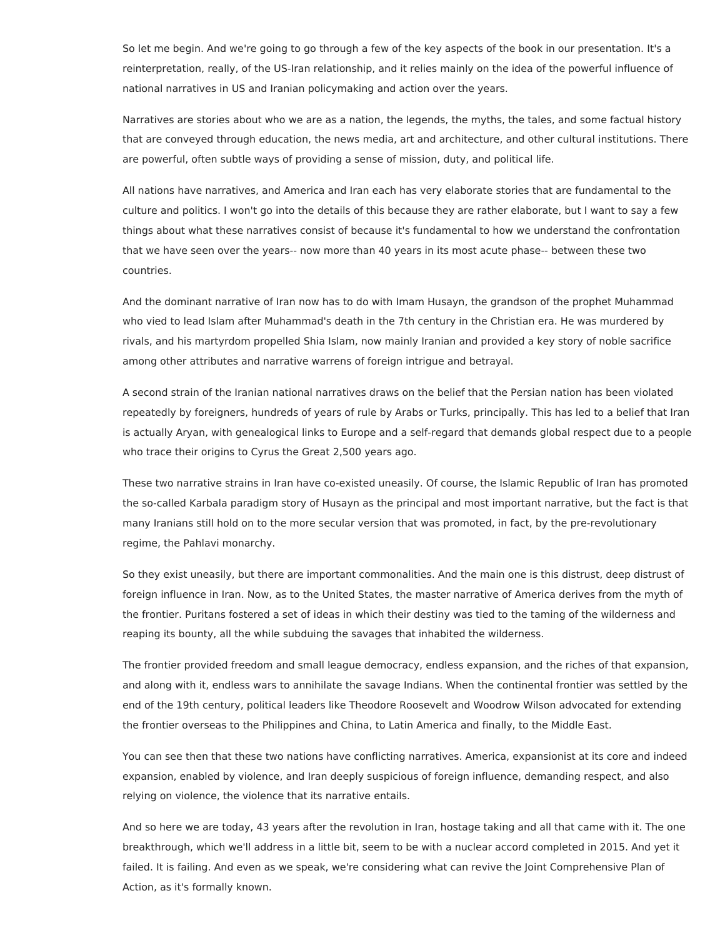So let me begin. And we're going to go through a few of the key aspects of the book in our presentation. It's a reinterpretation, really, of the US-Iran relationship, and it relies mainly on the idea of the powerful influence of national narratives in US and Iranian policymaking and action over the years.

Narratives are stories about who we are as a nation, the legends, the myths, the tales, and some factual history that are conveyed through education, the news media, art and architecture, and other cultural institutions. There are powerful, often subtle ways of providing a sense of mission, duty, and political life.

All nations have narratives, and America and Iran each has very elaborate stories that are fundamental to the culture and politics. I won't go into the details of this because they are rather elaborate, but I want to say a few things about what these narratives consist of because it's fundamental to how we understand the confrontation that we have seen over the years-- now more than 40 years in its most acute phase-- between these two countries.

And the dominant narrative of Iran now has to do with Imam Husayn, the grandson of the prophet Muhammad who vied to lead Islam after Muhammad's death in the 7th century in the Christian era. He was murdered by rivals, and his martyrdom propelled Shia Islam, now mainly Iranian and provided a key story of noble sacrifice among other attributes and narrative warrens of foreign intrigue and betrayal.

A second strain of the Iranian national narratives draws on the belief that the Persian nation has been violated repeatedly by foreigners, hundreds of years of rule by Arabs or Turks, principally. This has led to a belief that Iran is actually Aryan, with genealogical links to Europe and a self-regard that demands global respect due to a people who trace their origins to Cyrus the Great 2,500 years ago.

These two narrative strains in Iran have co-existed uneasily. Of course, the Islamic Republic of Iran has promoted the so-called Karbala paradigm story of Husayn as the principal and most important narrative, but the fact is that many Iranians still hold on to the more secular version that was promoted, in fact, by the pre-revolutionary regime, the Pahlavi monarchy.

So they exist uneasily, but there are important commonalities. And the main one is this distrust, deep distrust of foreign influence in Iran. Now, as to the United States, the master narrative of America derives from the myth of the frontier. Puritans fostered a set of ideas in which their destiny was tied to the taming of the wilderness and reaping its bounty, all the while subduing the savages that inhabited the wilderness.

The frontier provided freedom and small league democracy, endless expansion, and the riches of that expansion, and along with it, endless wars to annihilate the savage Indians. When the continental frontier was settled by the end of the 19th century, political leaders like Theodore Roosevelt and Woodrow Wilson advocated for extending the frontier overseas to the Philippines and China, to Latin America and finally, to the Middle East.

You can see then that these two nations have conflicting narratives. America, expansionist at its core and indeed expansion, enabled by violence, and Iran deeply suspicious of foreign influence, demanding respect, and also relying on violence, the violence that its narrative entails.

And so here we are today, 43 years after the revolution in Iran, hostage taking and all that came with it. The one breakthrough, which we'll address in a little bit, seem to be with a nuclear accord completed in 2015. And yet it failed. It is failing. And even as we speak, we're considering what can revive the Joint Comprehensive Plan of Action, as it's formally known.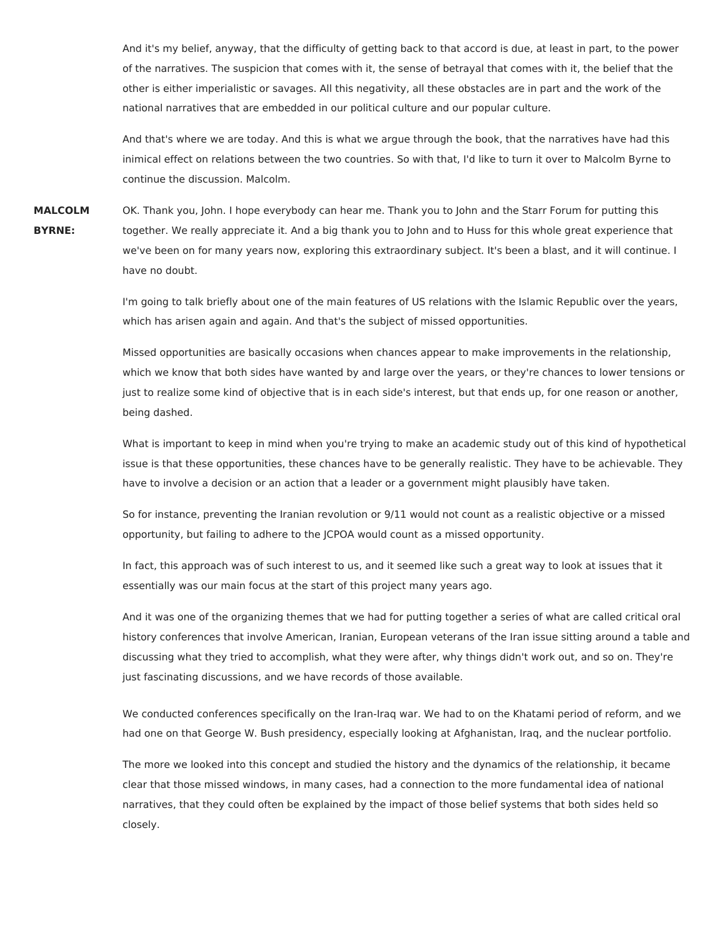And it's my belief, anyway, that the difficulty of getting back to that accord is due, at least in part, to the power of the narratives. The suspicion that comes with it, the sense of betrayal that comes with it, the belief that the other is either imperialistic or savages. All this negativity, all these obstacles are in part and the work of the national narratives that are embedded in our political culture and our popular culture.

And that's where we are today. And this is what we argue through the book, that the narratives have had this inimical effect on relations between the two countries. So with that, I'd like to turn it over to Malcolm Byrne to continue the discussion. Malcolm.

**MALCOLM BYRNE:** OK. Thank you, John. I hope everybody can hear me. Thank you to John and the Starr Forum for putting this together. We really appreciate it. And a big thank you to John and to Huss for this whole great experience that we've been on for many years now, exploring this extraordinary subject. It's been a blast, and it will continue. I have no doubt.

> I'm going to talk briefly about one of the main features of US relations with the Islamic Republic over the years, which has arisen again and again. And that's the subject of missed opportunities.

Missed opportunities are basically occasions when chances appear to make improvements in the relationship, which we know that both sides have wanted by and large over the years, or they're chances to lower tensions or just to realize some kind of objective that is in each side's interest, but that ends up, for one reason or another, being dashed.

What is important to keep in mind when you're trying to make an academic study out of this kind of hypothetical issue is that these opportunities, these chances have to be generally realistic. They have to be achievable. They have to involve a decision or an action that a leader or a government might plausibly have taken.

So for instance, preventing the Iranian revolution or 9/11 would not count as a realistic objective or a missed opportunity, but failing to adhere to the JCPOA would count as a missed opportunity.

In fact, this approach was of such interest to us, and it seemed like such a great way to look at issues that it essentially was our main focus at the start of this project many years ago.

And it was one of the organizing themes that we had for putting together a series of what are called critical oral history conferences that involve American, Iranian, European veterans of the Iran issue sitting around a table and discussing what they tried to accomplish, what they were after, why things didn't work out, and so on. They're just fascinating discussions, and we have records of those available.

We conducted conferences specifically on the Iran-Iraq war. We had to on the Khatami period of reform, and we had one on that George W. Bush presidency, especially looking at Afghanistan, Iraq, and the nuclear portfolio.

The more we looked into this concept and studied the history and the dynamics of the relationship, it became clear that those missed windows, in many cases, had a connection to the more fundamental idea of national narratives, that they could often be explained by the impact of those belief systems that both sides held so closely.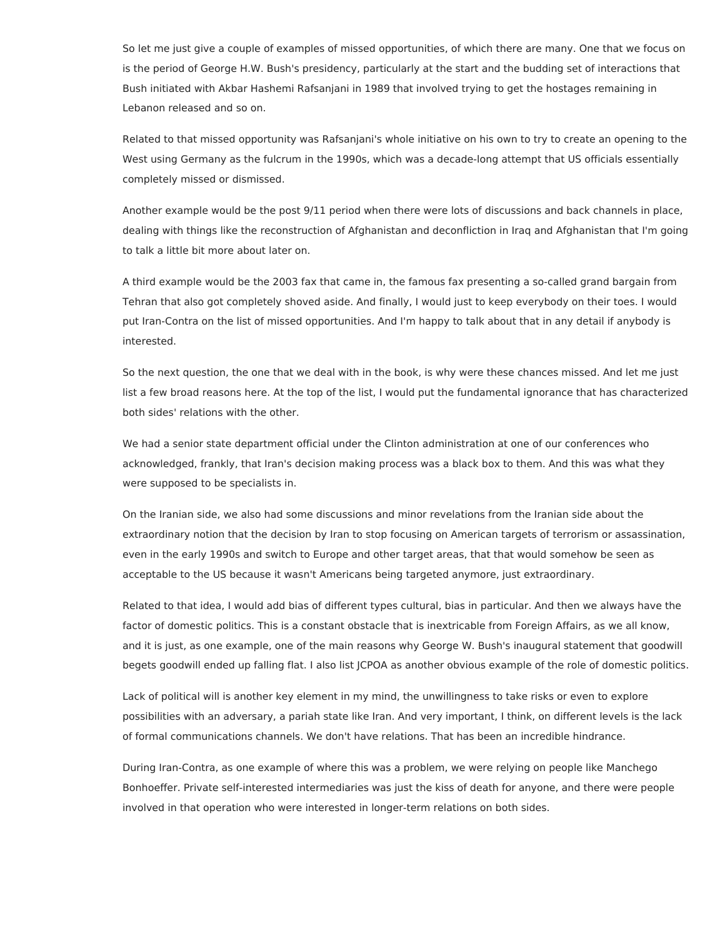So let me just give a couple of examples of missed opportunities, of which there are many. One that we focus on is the period of George H.W. Bush's presidency, particularly at the start and the budding set of interactions that Bush initiated with Akbar Hashemi Rafsanjani in 1989 that involved trying to get the hostages remaining in Lebanon released and so on.

Related to that missed opportunity was Rafsanjani's whole initiative on his own to try to create an opening to the West using Germany as the fulcrum in the 1990s, which was a decade-long attempt that US officials essentially completely missed or dismissed.

Another example would be the post 9/11 period when there were lots of discussions and back channels in place, dealing with things like the reconstruction of Afghanistan and deconfliction in Iraq and Afghanistan that I'm going to talk a little bit more about later on.

A third example would be the 2003 fax that came in, the famous fax presenting a so-called grand bargain from Tehran that also got completely shoved aside. And finally, I would just to keep everybody on their toes. I would put Iran-Contra on the list of missed opportunities. And I'm happy to talk about that in any detail if anybody is interested.

So the next question, the one that we deal with in the book, is why were these chances missed. And let me just list a few broad reasons here. At the top of the list, I would put the fundamental ignorance that has characterized both sides' relations with the other.

We had a senior state department official under the Clinton administration at one of our conferences who acknowledged, frankly, that Iran's decision making process was a black box to them. And this was what they were supposed to be specialists in.

On the Iranian side, we also had some discussions and minor revelations from the Iranian side about the extraordinary notion that the decision by Iran to stop focusing on American targets of terrorism or assassination, even in the early 1990s and switch to Europe and other target areas, that that would somehow be seen as acceptable to the US because it wasn't Americans being targeted anymore, just extraordinary.

Related to that idea, I would add bias of different types cultural, bias in particular. And then we always have the factor of domestic politics. This is a constant obstacle that is inextricable from Foreign Affairs, as we all know, and it is just, as one example, one of the main reasons why George W. Bush's inaugural statement that goodwill begets goodwill ended up falling flat. I also list JCPOA as another obvious example of the role of domestic politics.

Lack of political will is another key element in my mind, the unwillingness to take risks or even to explore possibilities with an adversary, a pariah state like Iran. And very important, I think, on different levels is the lack of formal communications channels. We don't have relations. That has been an incredible hindrance.

During Iran-Contra, as one example of where this was a problem, we were relying on people like Manchego Bonhoeffer. Private self-interested intermediaries was just the kiss of death for anyone, and there were people involved in that operation who were interested in longer-term relations on both sides.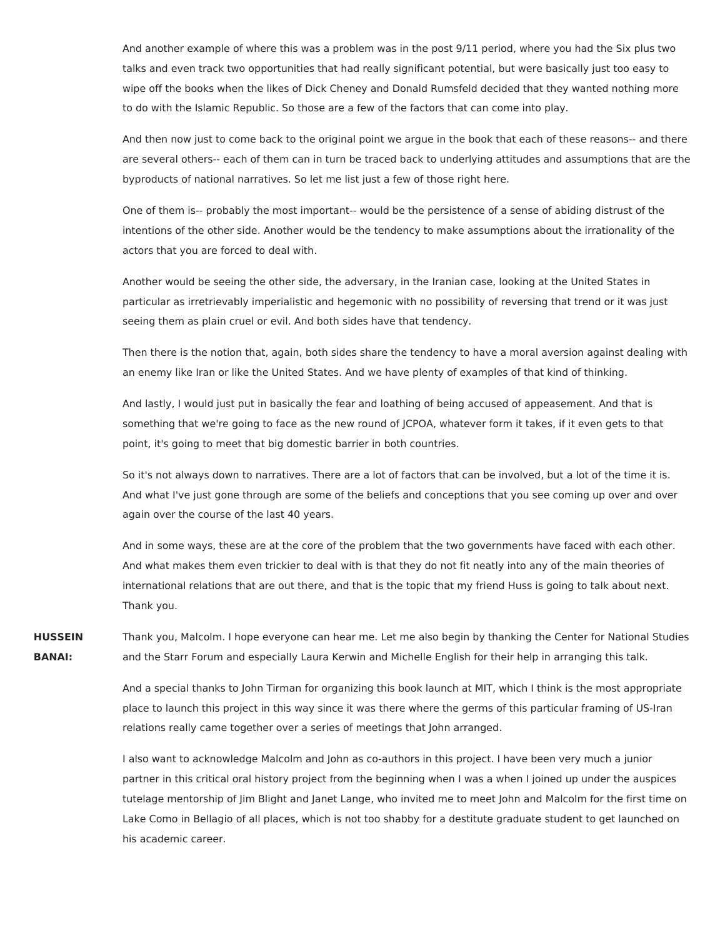And another example of where this was a problem was in the post 9/11 period, where you had the Six plus two talks and even track two opportunities that had really significant potential, but were basically just too easy to wipe off the books when the likes of Dick Cheney and Donald Rumsfeld decided that they wanted nothing more to do with the Islamic Republic. So those are a few of the factors that can come into play.

And then now just to come back to the original point we argue in the book that each of these reasons-- and there are several others-- each of them can in turn be traced back to underlying attitudes and assumptions that are the byproducts of national narratives. So let me list just a few of those right here.

One of them is-- probably the most important-- would be the persistence of a sense of abiding distrust of the intentions of the other side. Another would be the tendency to make assumptions about the irrationality of the actors that you are forced to deal with.

Another would be seeing the other side, the adversary, in the Iranian case, looking at the United States in particular as irretrievably imperialistic and hegemonic with no possibility of reversing that trend or it was just seeing them as plain cruel or evil. And both sides have that tendency.

Then there is the notion that, again, both sides share the tendency to have a moral aversion against dealing with an enemy like Iran or like the United States. And we have plenty of examples of that kind of thinking.

And lastly, I would just put in basically the fear and loathing of being accused of appeasement. And that is something that we're going to face as the new round of JCPOA, whatever form it takes, if it even gets to that point, it's going to meet that big domestic barrier in both countries.

So it's not always down to narratives. There are a lot of factors that can be involved, but a lot of the time it is. And what I've just gone through are some of the beliefs and conceptions that you see coming up over and over again over the course of the last 40 years.

And in some ways, these are at the core of the problem that the two governments have faced with each other. And what makes them even trickier to deal with is that they do not fit neatly into any of the main theories of international relations that are out there, and that is the topic that my friend Huss is going to talk about next. Thank you.

**HUSSEIN BANAI:** Thank you, Malcolm. I hope everyone can hear me. Let me also begin by thanking the Center for National Studies and the Starr Forum and especially Laura Kerwin and Michelle English for their help in arranging this talk.

> And a special thanks to John Tirman for organizing this book launch at MIT, which I think is the most appropriate place to launch this project in this way since it was there where the germs of this particular framing of US-Iran relations really came together over a series of meetings that John arranged.

> I also want to acknowledge Malcolm and John as co-authors in this project. I have been very much a junior partner in this critical oral history project from the beginning when I was a when I joined up under the auspices tutelage mentorship of Jim Blight and Janet Lange, who invited me to meet John and Malcolm for the first time on Lake Como in Bellagio of all places, which is not too shabby for a destitute graduate student to get launched on his academic career.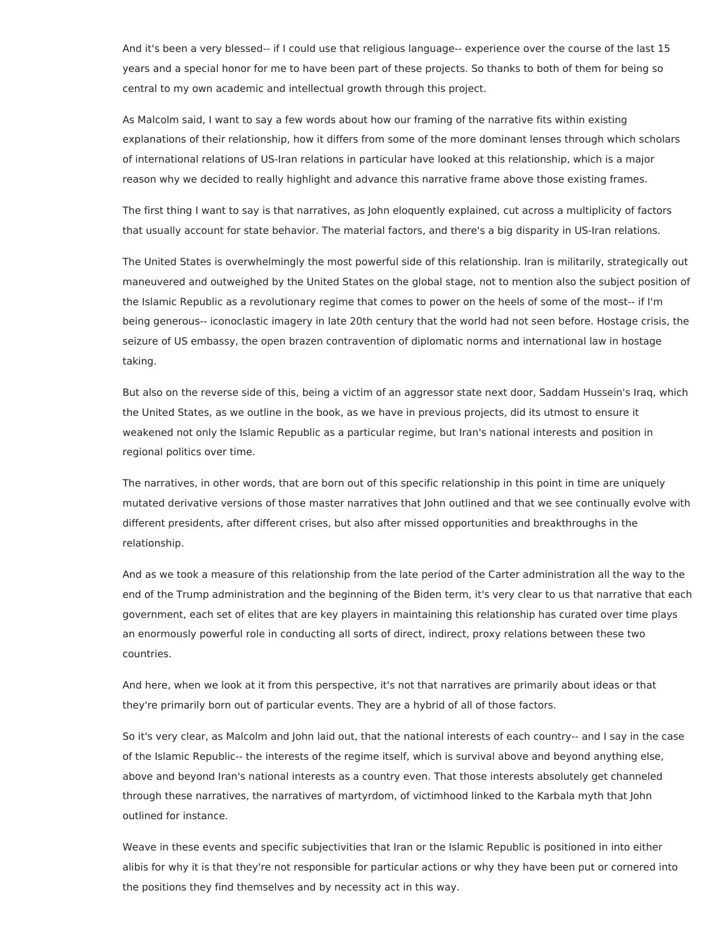And it's been a very blessed-- if I could use that religious language-- experience over the course of the last 15 years and a special honor for me to have been part of these projects. So thanks to both of them for being so central to my own academic and intellectual growth through this project.

As Malcolm said, I want to say a few words about how our framing of the narrative fits within existing explanations of their relationship, how it differs from some of the more dominant lenses through which scholars of international relations of US-Iran relations in particular have looked at this relationship, which is a major reason why we decided to really highlight and advance this narrative frame above those existing frames.

The first thing I want to say is that narratives, as John eloquently explained, cut across a multiplicity of factors that usually account for state behavior. The material factors, and there's a big disparity in US-Iran relations.

The United States is overwhelmingly the most powerful side of this relationship. Iran is militarily, strategically out maneuvered and outweighed by the United States on the global stage, not to mention also the subject position of the Islamic Republic as a revolutionary regime that comes to power on the heels of some of the most-- if I'm being generous-- iconoclastic imagery in late 20th century that the world had not seen before. Hostage crisis, the seizure of US embassy, the open brazen contravention of diplomatic norms and international law in hostage taking.

But also on the reverse side of this, being a victim of an aggressor state next door, Saddam Hussein's Iraq, which the United States, as we outline in the book, as we have in previous projects, did its utmost to ensure it weakened not only the Islamic Republic as a particular regime, but Iran's national interests and position in regional politics over time.

The narratives, in other words, that are born out of this specific relationship in this point in time are uniquely mutated derivative versions of those master narratives that John outlined and that we see continually evolve with different presidents, after different crises, but also after missed opportunities and breakthroughs in the relationship.

And as we took a measure of this relationship from the late period of the Carter administration all the way to the end of the Trump administration and the beginning of the Biden term, it's very clear to us that narrative that each government, each set of elites that are key players in maintaining this relationship has curated over time plays an enormously powerful role in conducting all sorts of direct, indirect, proxy relations between these two countries.

And here, when we look at it from this perspective, it's not that narratives are primarily about ideas or that they're primarily born out of particular events. They are a hybrid of all of those factors.

So it's very clear, as Malcolm and John laid out, that the national interests of each country-- and I say in the case of the Islamic Republic-- the interests of the regime itself, which is survival above and beyond anything else, above and beyond Iran's national interests as a country even. That those interests absolutely get channeled through these narratives, the narratives of martyrdom, of victimhood linked to the Karbala myth that John outlined for instance.

Weave in these events and specific subjectivities that Iran or the Islamic Republic is positioned in into either alibis for why it is that they're not responsible for particular actions or why they have been put or cornered into the positions they find themselves and by necessity act in this way.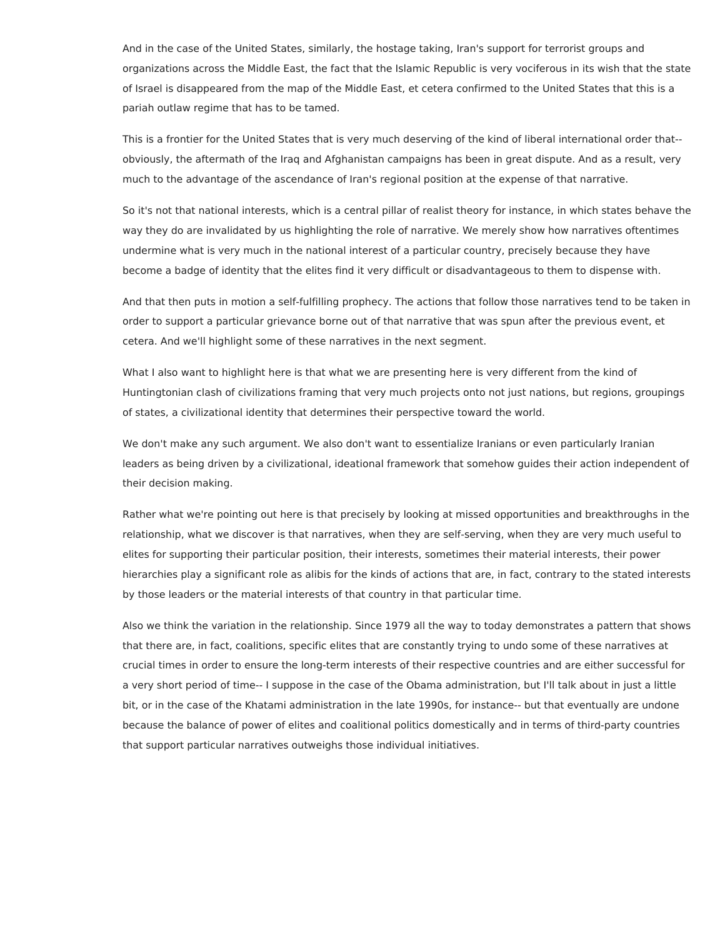And in the case of the United States, similarly, the hostage taking, Iran's support for terrorist groups and organizations across the Middle East, the fact that the Islamic Republic is very vociferous in its wish that the state of Israel is disappeared from the map of the Middle East, et cetera confirmed to the United States that this is a pariah outlaw regime that has to be tamed.

This is a frontier for the United States that is very much deserving of the kind of liberal international order that- obviously, the aftermath of the Iraq and Afghanistan campaigns has been in great dispute. And as a result, very much to the advantage of the ascendance of Iran's regional position at the expense of that narrative.

So it's not that national interests, which is a central pillar of realist theory for instance, in which states behave the way they do are invalidated by us highlighting the role of narrative. We merely show how narratives oftentimes undermine what is very much in the national interest of a particular country, precisely because they have become a badge of identity that the elites find it very difficult or disadvantageous to them to dispense with.

And that then puts in motion a self-fulfilling prophecy. The actions that follow those narratives tend to be taken in order to support a particular grievance borne out of that narrative that was spun after the previous event, et cetera. And we'll highlight some of these narratives in the next segment.

What I also want to highlight here is that what we are presenting here is very different from the kind of Huntingtonian clash of civilizations framing that very much projects onto not just nations, but regions, groupings of states, a civilizational identity that determines their perspective toward the world.

We don't make any such argument. We also don't want to essentialize Iranians or even particularly Iranian leaders as being driven by a civilizational, ideational framework that somehow guides their action independent of their decision making.

Rather what we're pointing out here is that precisely by looking at missed opportunities and breakthroughs in the relationship, what we discover is that narratives, when they are self-serving, when they are very much useful to elites for supporting their particular position, their interests, sometimes their material interests, their power hierarchies play a significant role as alibis for the kinds of actions that are, in fact, contrary to the stated interests by those leaders or the material interests of that country in that particular time.

Also we think the variation in the relationship. Since 1979 all the way to today demonstrates a pattern that shows that there are, in fact, coalitions, specific elites that are constantly trying to undo some of these narratives at crucial times in order to ensure the long-term interests of their respective countries and are either successful for a very short period of time-- I suppose in the case of the Obama administration, but I'll talk about in just a little bit, or in the case of the Khatami administration in the late 1990s, for instance-- but that eventually are undone because the balance of power of elites and coalitional politics domestically and in terms of third-party countries that support particular narratives outweighs those individual initiatives.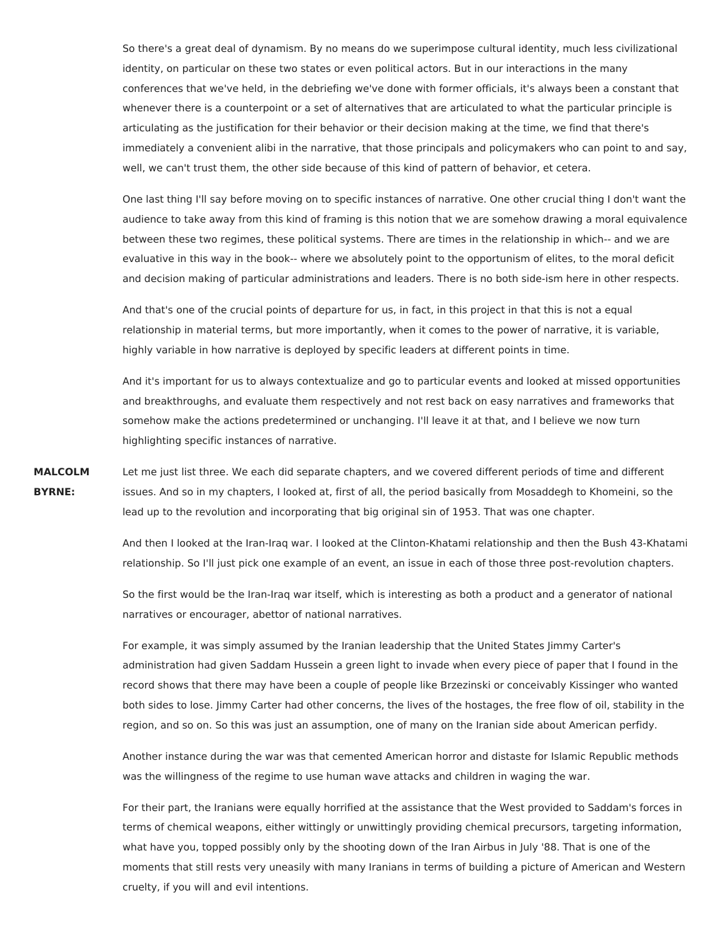So there's a great deal of dynamism. By no means do we superimpose cultural identity, much less civilizational identity, on particular on these two states or even political actors. But in our interactions in the many conferences that we've held, in the debriefing we've done with former officials, it's always been a constant that whenever there is a counterpoint or a set of alternatives that are articulated to what the particular principle is articulating as the justification for their behavior or their decision making at the time, we find that there's immediately a convenient alibi in the narrative, that those principals and policymakers who can point to and say, well, we can't trust them, the other side because of this kind of pattern of behavior, et cetera.

One last thing I'll say before moving on to specific instances of narrative. One other crucial thing I don't want the audience to take away from this kind of framing is this notion that we are somehow drawing a moral equivalence between these two regimes, these political systems. There are times in the relationship in which-- and we are evaluative in this way in the book-- where we absolutely point to the opportunism of elites, to the moral deficit and decision making of particular administrations and leaders. There is no both side-ism here in other respects.

And that's one of the crucial points of departure for us, in fact, in this project in that this is not a equal relationship in material terms, but more importantly, when it comes to the power of narrative, it is variable, highly variable in how narrative is deployed by specific leaders at different points in time.

And it's important for us to always contextualize and go to particular events and looked at missed opportunities and breakthroughs, and evaluate them respectively and not rest back on easy narratives and frameworks that somehow make the actions predetermined or unchanging. I'll leave it at that, and I believe we now turn highlighting specific instances of narrative.

**MALCOLM BYRNE:** Let me just list three. We each did separate chapters, and we covered different periods of time and different issues. And so in my chapters, I looked at, first of all, the period basically from Mosaddegh to Khomeini, so the lead up to the revolution and incorporating that big original sin of 1953. That was one chapter.

> And then I looked at the Iran-Iraq war. I looked at the Clinton-Khatami relationship and then the Bush 43-Khatami relationship. So I'll just pick one example of an event, an issue in each of those three post-revolution chapters.

So the first would be the Iran-Iraq war itself, which is interesting as both a product and a generator of national narratives or encourager, abettor of national narratives.

For example, it was simply assumed by the Iranian leadership that the United States Jimmy Carter's administration had given Saddam Hussein a green light to invade when every piece of paper that I found in the record shows that there may have been a couple of people like Brzezinski or conceivably Kissinger who wanted both sides to lose. Jimmy Carter had other concerns, the lives of the hostages, the free flow of oil, stability in the region, and so on. So this was just an assumption, one of many on the Iranian side about American perfidy.

Another instance during the war was that cemented American horror and distaste for Islamic Republic methods was the willingness of the regime to use human wave attacks and children in waging the war.

For their part, the Iranians were equally horrified at the assistance that the West provided to Saddam's forces in terms of chemical weapons, either wittingly or unwittingly providing chemical precursors, targeting information, what have you, topped possibly only by the shooting down of the Iran Airbus in July '88. That is one of the moments that still rests very uneasily with many Iranians in terms of building a picture of American and Western cruelty, if you will and evil intentions.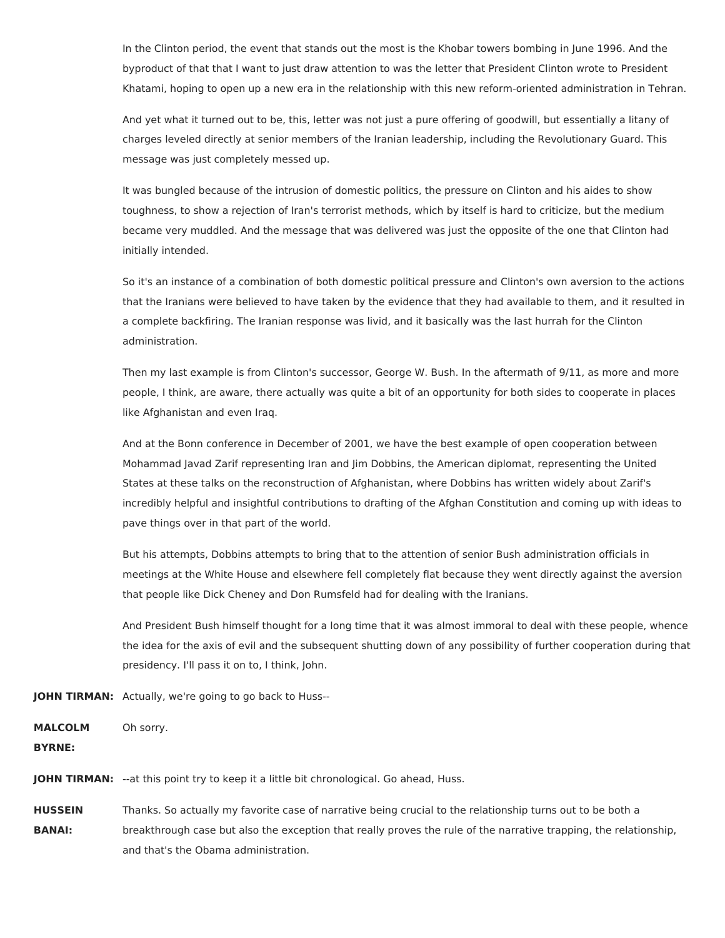In the Clinton period, the event that stands out the most is the Khobar towers bombing in June 1996. And the byproduct of that that I want to just draw attention to was the letter that President Clinton wrote to President Khatami, hoping to open up a new era in the relationship with this new reform-oriented administration in Tehran.

And yet what it turned out to be, this, letter was not just a pure offering of goodwill, but essentially a litany of charges leveled directly at senior members of the Iranian leadership, including the Revolutionary Guard. This message was just completely messed up.

It was bungled because of the intrusion of domestic politics, the pressure on Clinton and his aides to show toughness, to show a rejection of Iran's terrorist methods, which by itself is hard to criticize, but the medium became very muddled. And the message that was delivered was just the opposite of the one that Clinton had initially intended.

So it's an instance of a combination of both domestic political pressure and Clinton's own aversion to the actions that the Iranians were believed to have taken by the evidence that they had available to them, and it resulted in a complete backfiring. The Iranian response was livid, and it basically was the last hurrah for the Clinton administration.

Then my last example is from Clinton's successor, George W. Bush. In the aftermath of 9/11, as more and more people, I think, are aware, there actually was quite a bit of an opportunity for both sides to cooperate in places like Afghanistan and even Iraq.

And at the Bonn conference in December of 2001, we have the best example of open cooperation between Mohammad Javad Zarif representing Iran and Jim Dobbins, the American diplomat, representing the United States at these talks on the reconstruction of Afghanistan, where Dobbins has written widely about Zarif's incredibly helpful and insightful contributions to drafting of the Afghan Constitution and coming up with ideas to pave things over in that part of the world.

But his attempts, Dobbins attempts to bring that to the attention of senior Bush administration officials in meetings at the White House and elsewhere fell completely flat because they went directly against the aversion that people like Dick Cheney and Don Rumsfeld had for dealing with the Iranians.

And President Bush himself thought for a long time that it was almost immoral to deal with these people, whence the idea for the axis of evil and the subsequent shutting down of any possibility of further cooperation during that presidency. I'll pass it on to, I think, John.

**JOHN TIRMAN:** Actually, we're going to go back to Huss--

**MALCOLM BYRNE:** Oh sorry.

**JOHN TIRMAN:** --at this point try to keep it a little bit chronological. Go ahead, Huss.

**HUSSEIN BANAI:** Thanks. So actually my favorite case of narrative being crucial to the relationship turns out to be both a breakthrough case but also the exception that really proves the rule of the narrative trapping, the relationship, and that's the Obama administration.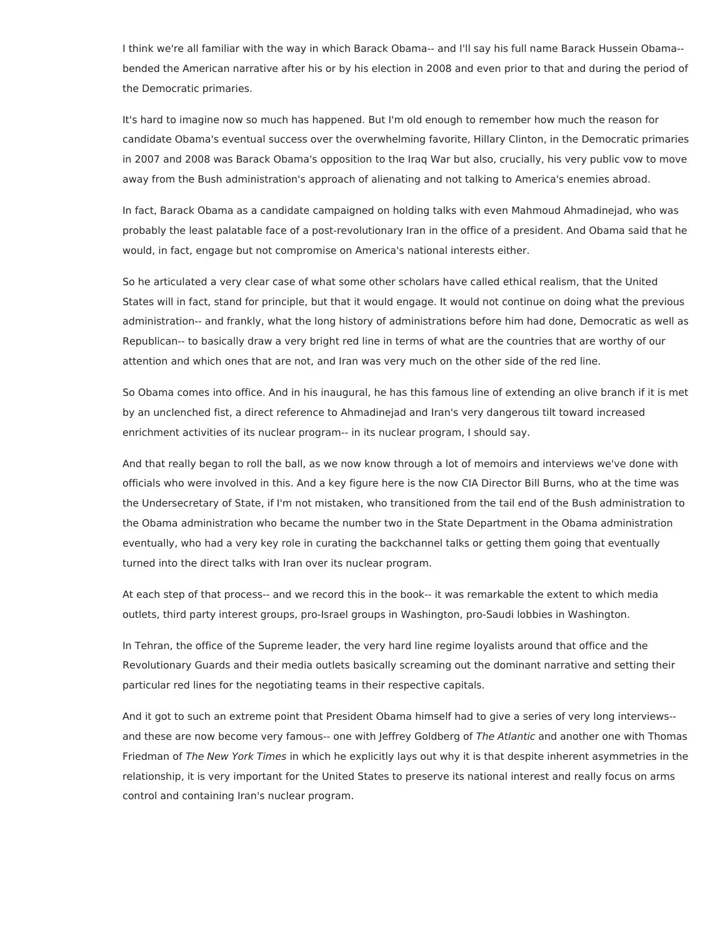I think we're all familiar with the way in which Barack Obama-- and I'll say his full name Barack Hussein Obama- bended the American narrative after his or by his election in 2008 and even prior to that and during the period of the Democratic primaries.

It's hard to imagine now so much has happened. But I'm old enough to remember how much the reason for candidate Obama's eventual success over the overwhelming favorite, Hillary Clinton, in the Democratic primaries in 2007 and 2008 was Barack Obama's opposition to the Iraq War but also, crucially, his very public vow to move away from the Bush administration's approach of alienating and not talking to America's enemies abroad.

In fact, Barack Obama as a candidate campaigned on holding talks with even Mahmoud Ahmadinejad, who was probably the least palatable face of a post-revolutionary Iran in the office of a president. And Obama said that he would, in fact, engage but not compromise on America's national interests either.

So he articulated a very clear case of what some other scholars have called ethical realism, that the United States will in fact, stand for principle, but that it would engage. It would not continue on doing what the previous administration-- and frankly, what the long history of administrations before him had done, Democratic as well as Republican-- to basically draw a very bright red line in terms of what are the countries that are worthy of our attention and which ones that are not, and Iran was very much on the other side of the red line.

So Obama comes into office. And in his inaugural, he has this famous line of extending an olive branch if it is met by an unclenched fist, a direct reference to Ahmadinejad and Iran's very dangerous tilt toward increased enrichment activities of its nuclear program-- in its nuclear program, I should say.

And that really began to roll the ball, as we now know through a lot of memoirs and interviews we've done with officials who were involved in this. And a key figure here is the now CIA Director Bill Burns, who at the time was the Undersecretary of State, if I'm not mistaken, who transitioned from the tail end of the Bush administration to the Obama administration who became the number two in the State Department in the Obama administration eventually, who had a very key role in curating the backchannel talks or getting them going that eventually turned into the direct talks with Iran over its nuclear program.

At each step of that process-- and we record this in the book-- it was remarkable the extent to which media outlets, third party interest groups, pro-Israel groups in Washington, pro-Saudi lobbies in Washington.

In Tehran, the office of the Supreme leader, the very hard line regime loyalists around that office and the Revolutionary Guards and their media outlets basically screaming out the dominant narrative and setting their particular red lines for the negotiating teams in their respective capitals.

And it got to such an extreme point that President Obama himself had to give a series of very long interviews- and these are now become very famous-- one with Jeffrey Goldberg of The Atlantic and another one with Thomas Friedman of The New York Times in which he explicitly lays out why it is that despite inherent asymmetries in the relationship, it is very important for the United States to preserve its national interest and really focus on arms control and containing Iran's nuclear program.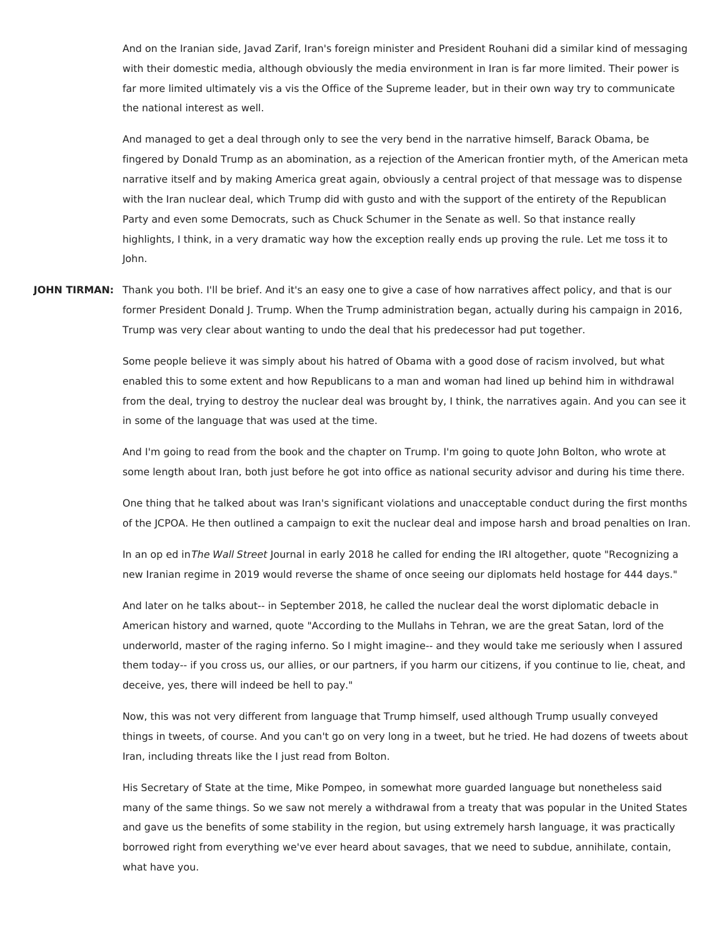And on the Iranian side, Javad Zarif, Iran's foreign minister and President Rouhani did a similar kind of messaging with their domestic media, although obviously the media environment in Iran is far more limited. Their power is far more limited ultimately vis a vis the Office of the Supreme leader, but in their own way try to communicate the national interest as well.

And managed to get a deal through only to see the very bend in the narrative himself, Barack Obama, be fingered by Donald Trump as an abomination, as a rejection of the American frontier myth, of the American meta narrative itself and by making America great again, obviously a central project of that message was to dispense with the Iran nuclear deal, which Trump did with gusto and with the support of the entirety of the Republican Party and even some Democrats, such as Chuck Schumer in the Senate as well. So that instance really highlights, I think, in a very dramatic way how the exception really ends up proving the rule. Let me toss it to John.

**JOHN TIRMAN:** Thank you both. I'll be brief. And it's an easy one to give a case of how narratives affect policy, and that is our former President Donald J. Trump. When the Trump administration began, actually during his campaign in 2016, Trump was very clear about wanting to undo the deal that his predecessor had put together.

> Some people believe it was simply about his hatred of Obama with a good dose of racism involved, but what enabled this to some extent and how Republicans to a man and woman had lined up behind him in withdrawal from the deal, trying to destroy the nuclear deal was brought by, I think, the narratives again. And you can see it in some of the language that was used at the time.

> And I'm going to read from the book and the chapter on Trump. I'm going to quote John Bolton, who wrote at some length about Iran, both just before he got into office as national security advisor and during his time there.

> One thing that he talked about was Iran's significant violations and unacceptable conduct during the first months of the JCPOA. He then outlined a campaign to exit the nuclear deal and impose harsh and broad penalties on Iran.

In an op ed inThe Wall Street Journal in early 2018 he called for ending the IRI altogether, quote "Recognizing a new Iranian regime in 2019 would reverse the shame of once seeing our diplomats held hostage for 444 days."

And later on he talks about-- in September 2018, he called the nuclear deal the worst diplomatic debacle in American history and warned, quote "According to the Mullahs in Tehran, we are the great Satan, lord of the underworld, master of the raging inferno. So I might imagine-- and they would take me seriously when I assured them today-- if you cross us, our allies, or our partners, if you harm our citizens, if you continue to lie, cheat, and deceive, yes, there will indeed be hell to pay."

Now, this was not very different from language that Trump himself, used although Trump usually conveyed things in tweets, of course. And you can't go on very long in a tweet, but he tried. He had dozens of tweets about Iran, including threats like the I just read from Bolton.

His Secretary of State at the time, Mike Pompeo, in somewhat more guarded language but nonetheless said many of the same things. So we saw not merely a withdrawal from a treaty that was popular in the United States and gave us the benefits of some stability in the region, but using extremely harsh language, it was practically borrowed right from everything we've ever heard about savages, that we need to subdue, annihilate, contain, what have you.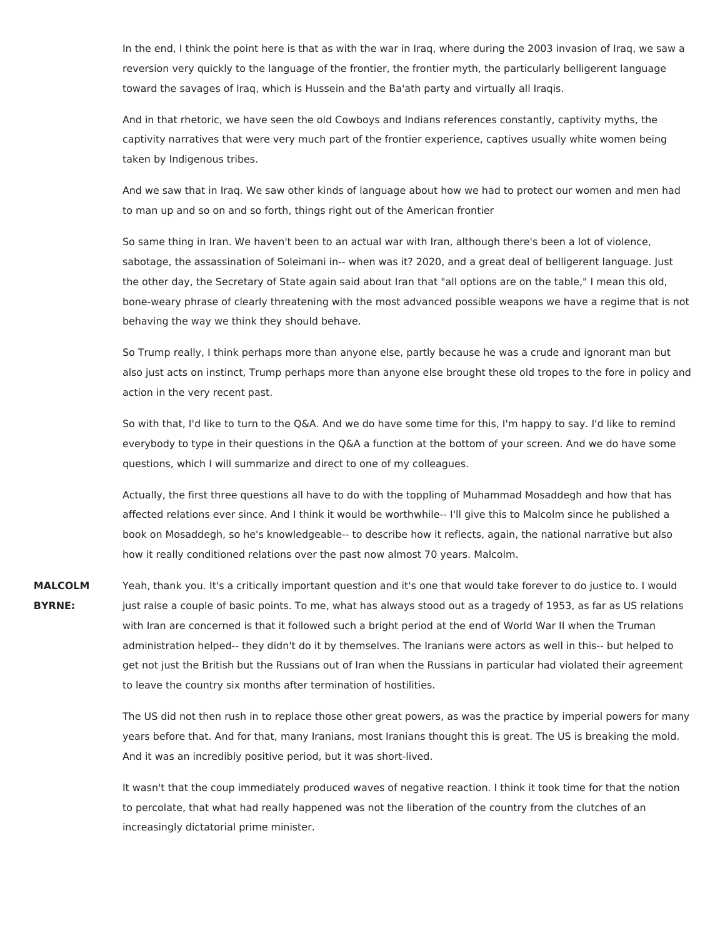In the end, I think the point here is that as with the war in Iraq, where during the 2003 invasion of Iraq, we saw a reversion very quickly to the language of the frontier, the frontier myth, the particularly belligerent language toward the savages of Iraq, which is Hussein and the Ba'ath party and virtually all Iraqis.

And in that rhetoric, we have seen the old Cowboys and Indians references constantly, captivity myths, the captivity narratives that were very much part of the frontier experience, captives usually white women being taken by Indigenous tribes.

And we saw that in Iraq. We saw other kinds of language about how we had to protect our women and men had to man up and so on and so forth, things right out of the American frontier

So same thing in Iran. We haven't been to an actual war with Iran, although there's been a lot of violence, sabotage, the assassination of Soleimani in-- when was it? 2020, and a great deal of belligerent language. Just the other day, the Secretary of State again said about Iran that "all options are on the table," I mean this old, bone-weary phrase of clearly threatening with the most advanced possible weapons we have a regime that is not behaving the way we think they should behave.

So Trump really, I think perhaps more than anyone else, partly because he was a crude and ignorant man but also just acts on instinct, Trump perhaps more than anyone else brought these old tropes to the fore in policy and action in the very recent past.

So with that, I'd like to turn to the Q&A. And we do have some time for this, I'm happy to say. I'd like to remind everybody to type in their questions in the Q&A a function at the bottom of your screen. And we do have some questions, which I will summarize and direct to one of my colleagues.

Actually, the first three questions all have to do with the toppling of Muhammad Mosaddegh and how that has affected relations ever since. And I think it would be worthwhile-- I'll give this to Malcolm since he published a book on Mosaddegh, so he's knowledgeable-- to describe how it reflects, again, the national narrative but also how it really conditioned relations over the past now almost 70 years. Malcolm.

**MALCOLM BYRNE:** Yeah, thank you. It's a critically important question and it's one that would take forever to do justice to. I would just raise a couple of basic points. To me, what has always stood out as a tragedy of 1953, as far as US relations with Iran are concerned is that it followed such a bright period at the end of World War II when the Truman administration helped-- they didn't do it by themselves. The Iranians were actors as well in this-- but helped to get not just the British but the Russians out of Iran when the Russians in particular had violated their agreement to leave the country six months after termination of hostilities.

> The US did not then rush in to replace those other great powers, as was the practice by imperial powers for many years before that. And for that, many Iranians, most Iranians thought this is great. The US is breaking the mold. And it was an incredibly positive period, but it was short-lived.

It wasn't that the coup immediately produced waves of negative reaction. I think it took time for that the notion to percolate, that what had really happened was not the liberation of the country from the clutches of an increasingly dictatorial prime minister.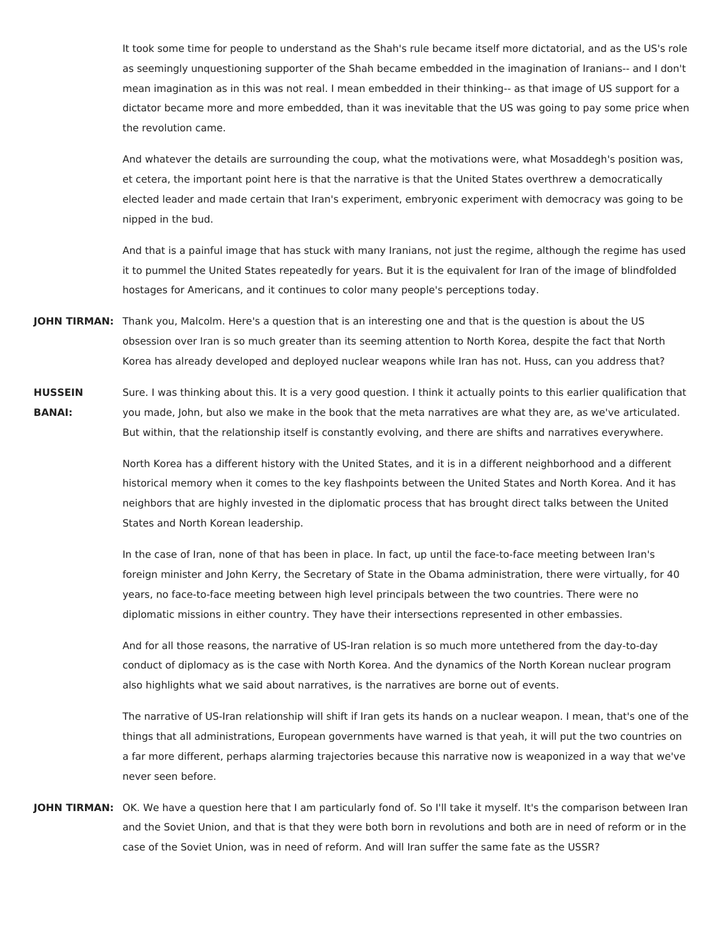It took some time for people to understand as the Shah's rule became itself more dictatorial, and as the US's role as seemingly unquestioning supporter of the Shah became embedded in the imagination of Iranians-- and I don't mean imagination as in this was not real. I mean embedded in their thinking-- as that image of US support for a dictator became more and more embedded, than it was inevitable that the US was going to pay some price when the revolution came.

And whatever the details are surrounding the coup, what the motivations were, what Mosaddegh's position was, et cetera, the important point here is that the narrative is that the United States overthrew a democratically elected leader and made certain that Iran's experiment, embryonic experiment with democracy was going to be nipped in the bud.

And that is a painful image that has stuck with many Iranians, not just the regime, although the regime has used it to pummel the United States repeatedly for years. But it is the equivalent for Iran of the image of blindfolded hostages for Americans, and it continues to color many people's perceptions today.

- **JOHN TIRMAN:** Thank you, Malcolm. Here's a question that is an interesting one and that is the question is about the US obsession over Iran is so much greater than its seeming attention to North Korea, despite the fact that North Korea has already developed and deployed nuclear weapons while Iran has not. Huss, can you address that?
- **HUSSEIN BANAI:** Sure. I was thinking about this. It is a very good question. I think it actually points to this earlier qualification that you made, John, but also we make in the book that the meta narratives are what they are, as we've articulated. But within, that the relationship itself is constantly evolving, and there are shifts and narratives everywhere.

North Korea has a different history with the United States, and it is in a different neighborhood and a different historical memory when it comes to the key flashpoints between the United States and North Korea. And it has neighbors that are highly invested in the diplomatic process that has brought direct talks between the United States and North Korean leadership.

In the case of Iran, none of that has been in place. In fact, up until the face-to-face meeting between Iran's foreign minister and John Kerry, the Secretary of State in the Obama administration, there were virtually, for 40 years, no face-to-face meeting between high level principals between the two countries. There were no diplomatic missions in either country. They have their intersections represented in other embassies.

And for all those reasons, the narrative of US-Iran relation is so much more untethered from the day-to-day conduct of diplomacy as is the case with North Korea. And the dynamics of the North Korean nuclear program also highlights what we said about narratives, is the narratives are borne out of events.

The narrative of US-Iran relationship will shift if Iran gets its hands on a nuclear weapon. I mean, that's one of the things that all administrations, European governments have warned is that yeah, it will put the two countries on a far more different, perhaps alarming trajectories because this narrative now is weaponized in a way that we've never seen before.

**JOHN TIRMAN:** OK. We have a question here that I am particularly fond of. So I'll take it myself. It's the comparison between Iran and the Soviet Union, and that is that they were both born in revolutions and both are in need of reform or in the case of the Soviet Union, was in need of reform. And will Iran suffer the same fate as the USSR?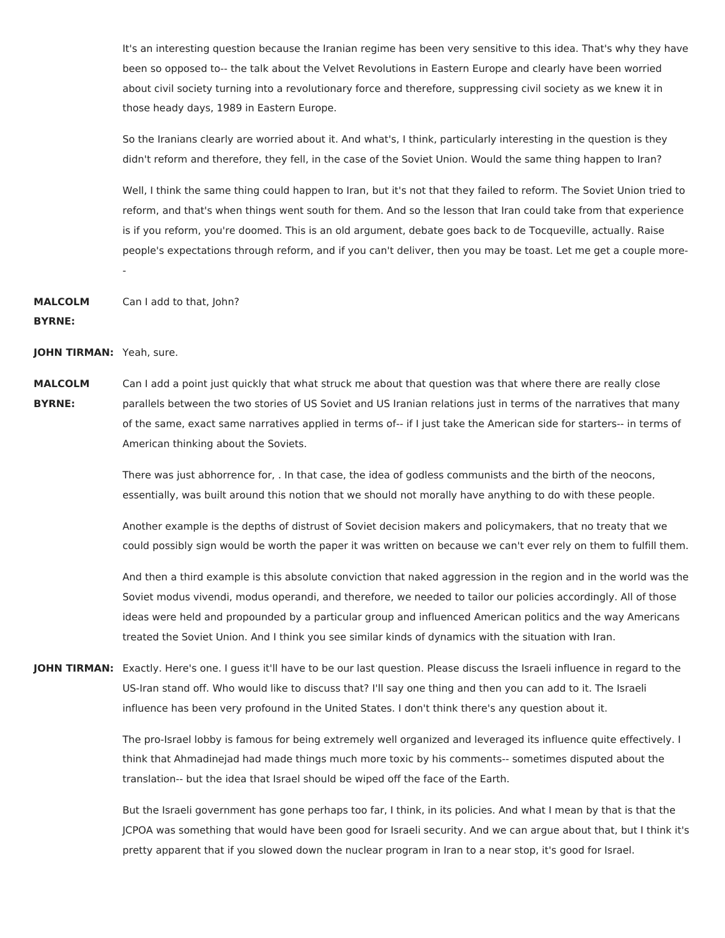It's an interesting question because the Iranian regime has been very sensitive to this idea. That's why they have been so opposed to-- the talk about the Velvet Revolutions in Eastern Europe and clearly have been worried about civil society turning into a revolutionary force and therefore, suppressing civil society as we knew it in those heady days, 1989 in Eastern Europe.

So the Iranians clearly are worried about it. And what's, I think, particularly interesting in the question is they didn't reform and therefore, they fell, in the case of the Soviet Union. Would the same thing happen to Iran?

Well, I think the same thing could happen to Iran, but it's not that they failed to reform. The Soviet Union tried to reform, and that's when things went south for them. And so the lesson that Iran could take from that experience is if you reform, you're doomed. This is an old argument, debate goes back to de Tocqueville, actually. Raise people's expectations through reform, and if you can't deliver, then you may be toast. Let me get a couple more- -

## **MALCOLM** Can I add to that, John?

## **BYRNE:**

**JOHN TIRMAN:** Yeah, sure.

**MALCOLM BYRNE:** Can I add a point just quickly that what struck me about that question was that where there are really close parallels between the two stories of US Soviet and US Iranian relations just in terms of the narratives that many of the same, exact same narratives applied in terms of-- if I just take the American side for starters-- in terms of American thinking about the Soviets.

> There was just abhorrence for, . In that case, the idea of godless communists and the birth of the neocons, essentially, was built around this notion that we should not morally have anything to do with these people.

Another example is the depths of distrust of Soviet decision makers and policymakers, that no treaty that we could possibly sign would be worth the paper it was written on because we can't ever rely on them to fulfill them.

And then a third example is this absolute conviction that naked aggression in the region and in the world was the Soviet modus vivendi, modus operandi, and therefore, we needed to tailor our policies accordingly. All of those ideas were held and propounded by a particular group and influenced American politics and the way Americans treated the Soviet Union. And I think you see similar kinds of dynamics with the situation with Iran.

**JOHN TIRMAN:** Exactly. Here's one. I guess it'll have to be our last question. Please discuss the Israeli influence in regard to the US-Iran stand off. Who would like to discuss that? I'll say one thing and then you can add to it. The Israeli influence has been very profound in the United States. I don't think there's any question about it.

> The pro-Israel lobby is famous for being extremely well organized and leveraged its influence quite effectively. I think that Ahmadinejad had made things much more toxic by his comments-- sometimes disputed about the translation-- but the idea that Israel should be wiped off the face of the Earth.

But the Israeli government has gone perhaps too far, I think, in its policies. And what I mean by that is that the JCPOA was something that would have been good for Israeli security. And we can argue about that, but I think it's pretty apparent that if you slowed down the nuclear program in Iran to a near stop, it's good for Israel.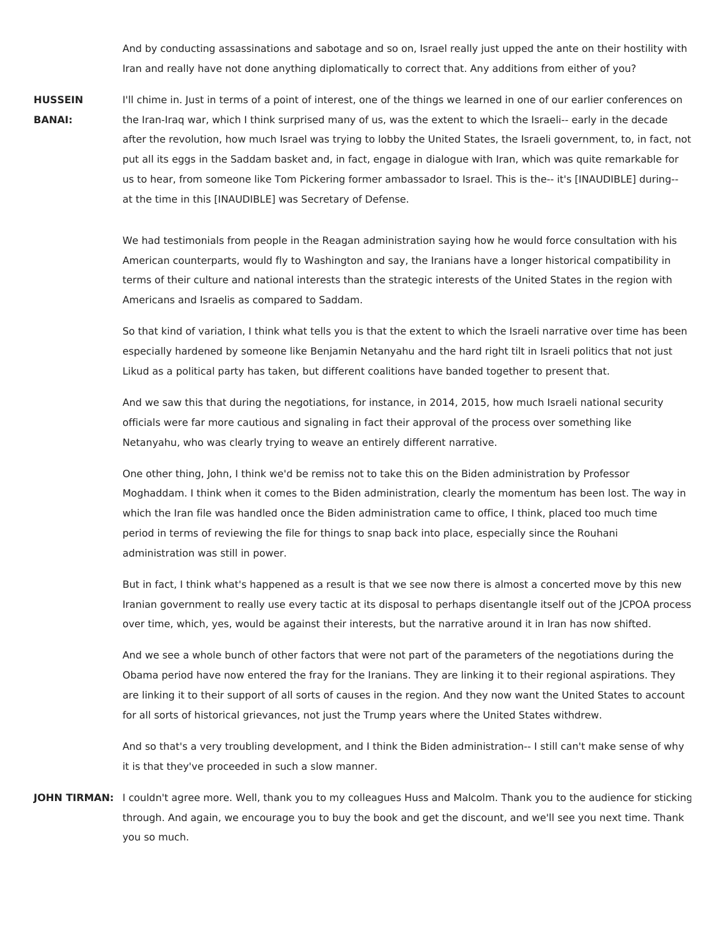And by conducting assassinations and sabotage and so on, Israel really just upped the ante on their hostility with Iran and really have not done anything diplomatically to correct that. Any additions from either of you?

## **HUSSEIN BANAI:** I'll chime in. Just in terms of a point of interest, one of the things we learned in one of our earlier conferences on the Iran-Iraq war, which I think surprised many of us, was the extent to which the Israeli-- early in the decade after the revolution, how much Israel was trying to lobby the United States, the Israeli government, to, in fact, not put all its eggs in the Saddam basket and, in fact, engage in dialogue with Iran, which was quite remarkable for us to hear, from someone like Tom Pickering former ambassador to Israel. This is the-- it's [INAUDIBLE] during- at the time in this [INAUDIBLE] was Secretary of Defense.

We had testimonials from people in the Reagan administration saying how he would force consultation with his American counterparts, would fly to Washington and say, the Iranians have a longer historical compatibility in terms of their culture and national interests than the strategic interests of the United States in the region with Americans and Israelis as compared to Saddam.

So that kind of variation, I think what tells you is that the extent to which the Israeli narrative over time has been especially hardened by someone like Benjamin Netanyahu and the hard right tilt in Israeli politics that not just Likud as a political party has taken, but different coalitions have banded together to present that.

And we saw this that during the negotiations, for instance, in 2014, 2015, how much Israeli national security officials were far more cautious and signaling in fact their approval of the process over something like Netanyahu, who was clearly trying to weave an entirely different narrative.

One other thing, John, I think we'd be remiss not to take this on the Biden administration by Professor Moghaddam. I think when it comes to the Biden administration, clearly the momentum has been lost. The way in which the Iran file was handled once the Biden administration came to office, I think, placed too much time period in terms of reviewing the file for things to snap back into place, especially since the Rouhani administration was still in power.

But in fact, I think what's happened as a result is that we see now there is almost a concerted move by this new Iranian government to really use every tactic at its disposal to perhaps disentangle itself out of the JCPOA process over time, which, yes, would be against their interests, but the narrative around it in Iran has now shifted.

And we see a whole bunch of other factors that were not part of the parameters of the negotiations during the Obama period have now entered the fray for the Iranians. They are linking it to their regional aspirations. They are linking it to their support of all sorts of causes in the region. And they now want the United States to account for all sorts of historical grievances, not just the Trump years where the United States withdrew.

And so that's a very troubling development, and I think the Biden administration-- I still can't make sense of why it is that they've proceeded in such a slow manner.

**JOHN TIRMAN:** I couldn't agree more. Well, thank you to my colleagues Huss and Malcolm. Thank you to the audience for sticking through. And again, we encourage you to buy the book and get the discount, and we'll see you next time. Thank you so much.